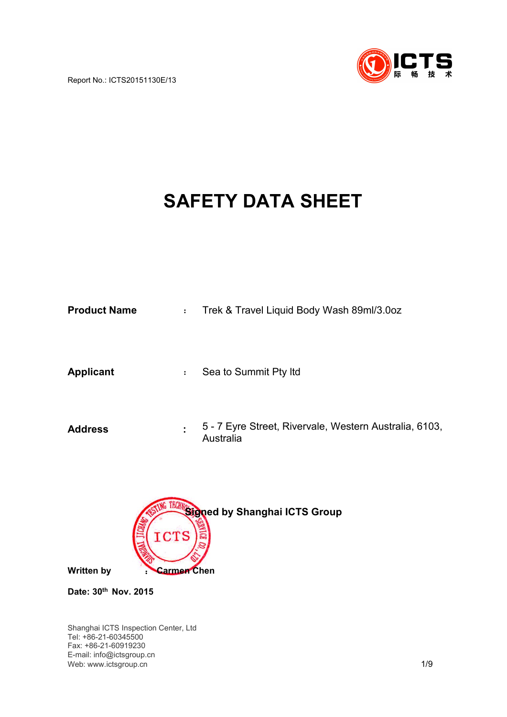Report No.: ICTS20151130E/13



# **SAFETY DATA SHEET**

| <b>Product Name</b> | $\ddot{\cdot}$ | Trek & Travel Liquid Body Wash 89ml/3.0oz                           |
|---------------------|----------------|---------------------------------------------------------------------|
| Applicant           | $\ddot{\cdot}$ | Sea to Summit Pty Itd                                               |
| <b>Address</b>      | ÷              | 5 - 7 Eyre Street, Rivervale, Western Australia, 6103,<br>Australia |



**Date: 30th Nov. 2015**

Shanghai ICTS Inspection Center, Ltd Tel: [+86-21-60345500](Tel:021-51078336) Fax: +86-21-60919230 E-mail: info@ictsgroup.cn Web: [www.ictsgroup.cn](http://www.ictsgroup.com) 2/9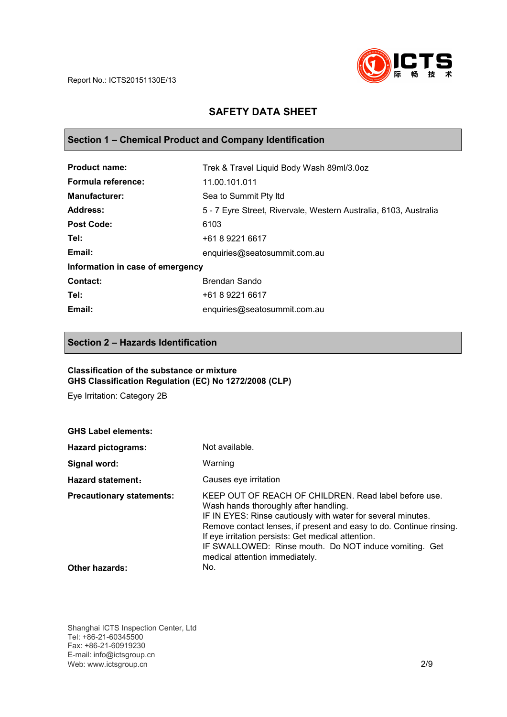

# **SAFETY DATA SHEET**

## **Section 1 – Chemical Product and Company Identification**

| <b>Product name:</b>             | Trek & Travel Liquid Body Wash 89ml/3.0oz                        |  |
|----------------------------------|------------------------------------------------------------------|--|
| <b>Formula reference:</b>        | 11.00.101.011                                                    |  |
| <b>Manufacturer:</b>             | Sea to Summit Pty Itd                                            |  |
| Address:                         | 5 - 7 Eyre Street, Rivervale, Western Australia, 6103, Australia |  |
| <b>Post Code:</b>                | 6103                                                             |  |
| Tel:                             | +61 8 9221 6617                                                  |  |
| Email:                           | enquiries@seatosummit.com.au                                     |  |
| Information in case of emergency |                                                                  |  |
| Contact:                         | Brendan Sando                                                    |  |
| Tel:                             | +61 8 9221 6617                                                  |  |
| Email:                           | enquiries@seatosummit.com.au                                     |  |

#### **Section 2 – Hazards Identification**

#### **Classification of the substance or mixture GHS Classification Regulation (EC) No 1272/2008 (CLP)**

Eye Irritation: Category 2B

#### **GHS Label elements:**

| <b>Hazard pictograms:</b>        | Not available.                                                                                                                                                                                                                                                                                                                                                                          |
|----------------------------------|-----------------------------------------------------------------------------------------------------------------------------------------------------------------------------------------------------------------------------------------------------------------------------------------------------------------------------------------------------------------------------------------|
| Signal word:                     | Warning                                                                                                                                                                                                                                                                                                                                                                                 |
| <b>Hazard statement:</b>         | Causes eye irritation                                                                                                                                                                                                                                                                                                                                                                   |
| <b>Precautionary statements:</b> | KEEP OUT OF REACH OF CHILDREN. Read label before use.<br>Wash hands thoroughly after handling.<br>IF IN EYES: Rinse cautiously with water for several minutes.<br>Remove contact lenses, if present and easy to do. Continue rinsing.<br>If eye irritation persists: Get medical attention.<br>IF SWALLOWED: Rinse mouth. Do NOT induce vomiting. Get<br>medical attention immediately. |
| <b>Other hazards:</b>            | No.                                                                                                                                                                                                                                                                                                                                                                                     |

Shanghai ICTS Inspection Center, Ltd Tel: [+86-21-60345500](Tel:021-51078336) Fax: +86-21-60919230 E-mail: info@ictsgroup.cn Web: [www.ictsgroup.cn](http://www.ictsgroup.com) 2/9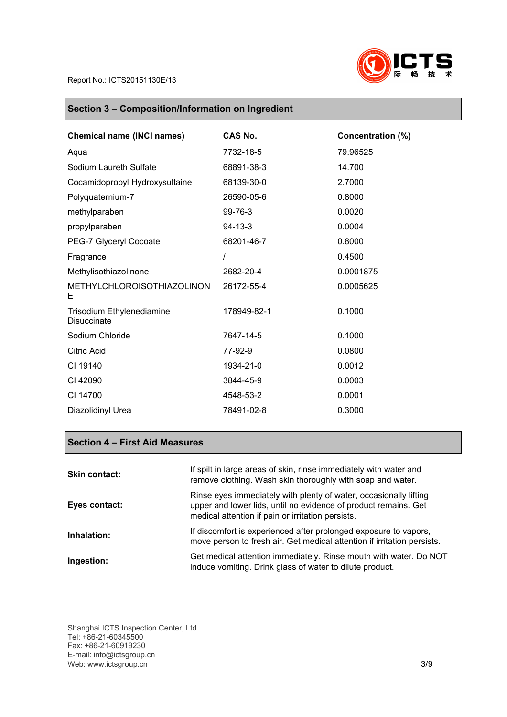

# **Section 3 – Composition/Information on Ingredient**

| <b>Chemical name (INCI names)</b>        | CAS No.       | <b>Concentration (%)</b> |
|------------------------------------------|---------------|--------------------------|
| Aqua                                     | 7732-18-5     | 79.96525                 |
| Sodium Laureth Sulfate                   | 68891-38-3    | 14.700                   |
| Cocamidopropyl Hydroxysultaine           | 68139-30-0    | 2.7000                   |
| Polyquaternium-7                         | 26590-05-6    | 0.8000                   |
| methylparaben                            | 99-76-3       | 0.0020                   |
| propylparaben                            | $94 - 13 - 3$ | 0.0004                   |
| PEG-7 Glyceryl Cocoate                   | 68201-46-7    | 0.8000                   |
| Fragrance                                |               | 0.4500                   |
| Methylisothiazolinone                    | 2682-20-4     | 0.0001875                |
| METHYLCHLOROISOTHIAZOLINON<br>Е          | 26172-55-4    | 0.0005625                |
| Trisodium Ethylenediamine<br>Disuccinate | 178949-82-1   | 0.1000                   |
| Sodium Chloride                          | 7647-14-5     | 0.1000                   |
| <b>Citric Acid</b>                       | 77-92-9       | 0.0800                   |
| CI 19140                                 | 1934-21-0     | 0.0012                   |
| CI 42090                                 | 3844-45-9     | 0.0003                   |
| CI 14700                                 | 4548-53-2     | 0.0001                   |
| Diazolidinyl Urea                        | 78491-02-8    | 0.3000                   |

## **Section 4 – First Aid Measures**

| <b>Skin contact:</b> | If spilt in large areas of skin, rinse immediately with water and<br>remove clothing. Wash skin thoroughly with soap and water.                                                           |
|----------------------|-------------------------------------------------------------------------------------------------------------------------------------------------------------------------------------------|
| Eyes contact:        | Rinse eyes immediately with plenty of water, occasionally lifting<br>upper and lower lids, until no evidence of product remains. Get<br>medical attention if pain or irritation persists. |
| Inhalation:          | If discomfort is experienced after prolonged exposure to vapors,<br>move person to fresh air. Get medical attention if irritation persists.                                               |
| Ingestion:           | Get medical attention immediately. Rinse mouth with water. Do NOT<br>induce vomiting. Drink glass of water to dilute product.                                                             |

Shanghai ICTS Inspection Center, Ltd Tel: [+86-21-60345500](Tel:021-51078336) Fax: +86-21-60919230 E-mail: info@ictsgroup.cn Web: [www.ictsgroup.cn](http://www.ictsgroup.com) 3/9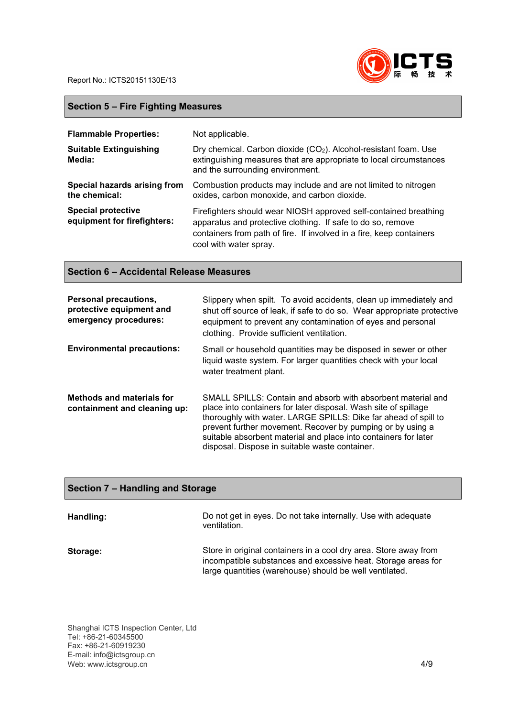

## **Section 5 – Fire Fighting Measures**

| <b>Flammable Properties:</b>                             | Not applicable.                                                                                                                                                                                                                   |
|----------------------------------------------------------|-----------------------------------------------------------------------------------------------------------------------------------------------------------------------------------------------------------------------------------|
| <b>Suitable Extinguishing</b><br>Media:                  | Dry chemical. Carbon dioxide (CO <sub>2</sub> ). Alcohol-resistant foam. Use<br>extinguishing measures that are appropriate to local circumstances<br>and the surrounding environment.                                            |
| Special hazards arising from<br>the chemical:            | Combustion products may include and are not limited to nitrogen<br>oxides, carbon monoxide, and carbon dioxide.                                                                                                                   |
| <b>Special protective</b><br>equipment for firefighters: | Firefighters should wear NIOSH approved self-contained breathing<br>apparatus and protective clothing. If safe to do so, remove<br>containers from path of fire. If involved in a fire, keep containers<br>cool with water spray. |

# **Section 6 - Accidental Release Measures**

| Personal precautions,<br>protective equipment and<br>emergency procedures: | Slippery when spilt. To avoid accidents, clean up immediately and<br>shut off source of leak, if safe to do so. Wear appropriate protective<br>equipment to prevent any contamination of eyes and personal<br>clothing. Provide sufficient ventilation.                                                                                                                               |
|----------------------------------------------------------------------------|---------------------------------------------------------------------------------------------------------------------------------------------------------------------------------------------------------------------------------------------------------------------------------------------------------------------------------------------------------------------------------------|
| <b>Environmental precautions:</b>                                          | Small or household quantities may be disposed in sewer or other<br>liquid waste system. For larger quantities check with your local<br>water treatment plant.                                                                                                                                                                                                                         |
| <b>Methods and materials for</b><br>containment and cleaning up:           | SMALL SPILLS: Contain and absorb with absorbent material and<br>place into containers for later disposal. Wash site of spillage<br>thoroughly with water. LARGE SPILLS: Dike far ahead of spill to<br>prevent further movement. Recover by pumping or by using a<br>suitable absorbent material and place into containers for later<br>disposal. Dispose in suitable waste container. |

| Section 7 – Handling and Storage |                                                                                                                                                                                              |  |
|----------------------------------|----------------------------------------------------------------------------------------------------------------------------------------------------------------------------------------------|--|
| Handling:                        | Do not get in eyes. Do not take internally. Use with adequate<br>ventilation.                                                                                                                |  |
| Storage:                         | Store in original containers in a cool dry area. Store away from<br>incompatible substances and excessive heat. Storage areas for<br>large quantities (warehouse) should be well ventilated. |  |

Shanghai ICTS Inspection Center, Ltd Tel: [+86-21-60345500](Tel:021-51078336) Fax: +86-21-60919230 E-mail: info@ictsgroup.cn Web: [www.ictsgroup.cn](http://www.ictsgroup.com) 4/9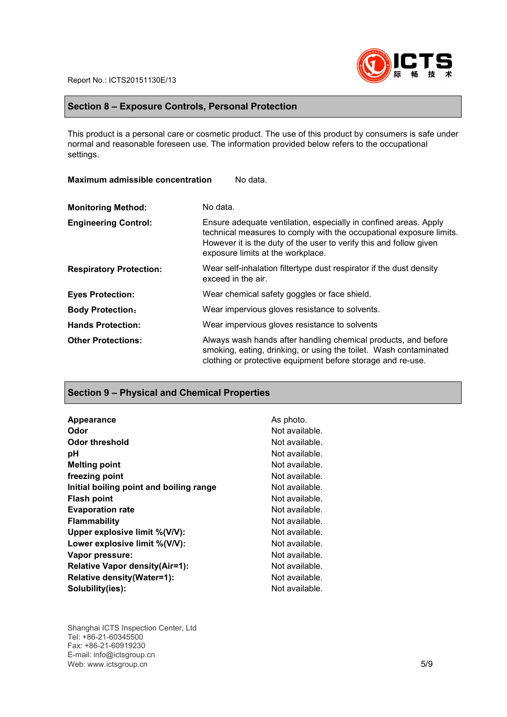

#### **Section 8 – Exposure Controls, Personal Protection**

This product is a personal care or cosmetic product. The use of this product by consumers is safe under normal and reasonable foreseen use. The information provided below refers to the occupational settings.

| <b>Maximum admissible concentration</b> | No data. |
|-----------------------------------------|----------|
|-----------------------------------------|----------|

| <b>Monitoring Method:</b>      | No data.                                                                                                                                                                                                                                           |
|--------------------------------|----------------------------------------------------------------------------------------------------------------------------------------------------------------------------------------------------------------------------------------------------|
| <b>Engineering Control:</b>    | Ensure adequate ventilation, especially in confined areas. Apply<br>technical measures to comply with the occupational exposure limits.<br>However it is the duty of the user to verify this and follow given<br>exposure limits at the workplace. |
| <b>Respiratory Protection:</b> | Wear self-inhalation filtertype dust respirator if the dust density<br>exceed in the air.                                                                                                                                                          |
| <b>Eyes Protection:</b>        | Wear chemical safety goggles or face shield.                                                                                                                                                                                                       |
| <b>Body Protection:</b>        | Wear impervious gloves resistance to solvents.                                                                                                                                                                                                     |
| <b>Hands Protection:</b>       | Wear impervious gloves resistance to solvents                                                                                                                                                                                                      |
| <b>Other Protections:</b>      | Always wash hands after handling chemical products, and before<br>smoking, eating, drinking, or using the toilet. Wash contaminated<br>clothing or protective equipment before storage and re-use.                                                 |

#### **Section 9 – Physical and Chemical Properties**

| Appearance                              |
|-----------------------------------------|
| Odor                                    |
| <b>Odor threshold</b>                   |
| рH                                      |
| <b>Melting point</b>                    |
| freezing point                          |
| Initial boiling point and boiling range |
| <b>Flash point</b>                      |
| <b>Evaporation rate</b>                 |
| <b>Flammability</b>                     |
| Upper explosive limit %(V/V):           |
| Lower explosive limit %(V/V):           |
| Vapor pressure:                         |
| Relative Vapor density(Air=1):          |
| Relative density (Water=1):             |
| Solubility(ies):                        |

Shanghai ICTS Inspection Center, Ltd Tel: [+86-21-60345500](Tel:021-51078336) Fax: +86-21-60919230 E-mail: info@ictsgroup.cn Web: [www.ictsgroup.cn](http://www.ictsgroup.com) 5/9

As photo. Not available. **Not available.** Not available. **Not available. Not available. Not available. Not available. Evaporation rate** Not available. Not available. **Not available. Not available. Not available. Not available. Not available.** Not available.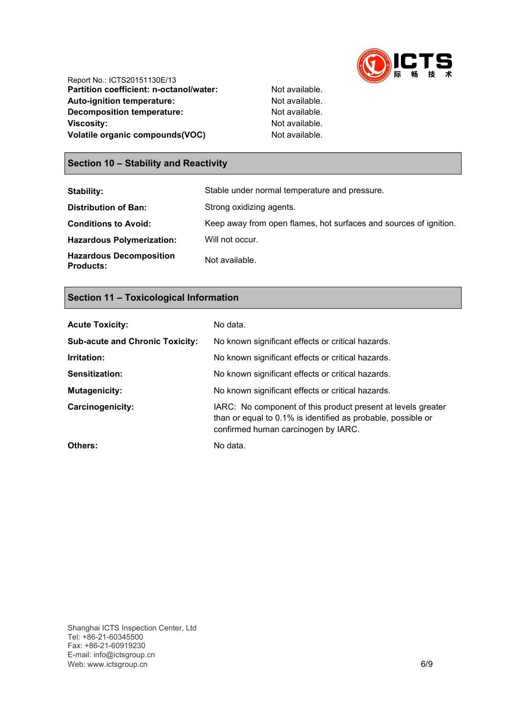

Report No.: ICTS20151130E/13 **Partition coefficient: n-octanol/water:** Not available. Auto-ignition *temperature*: Not available. **Decomposition temperature:** Not available. **Viscosity:** Not available. **Volatile organic compounds(VOC)** Not available.

## **Section 10 – Stability and Reactivity**

| Stability:                                         | Stable under normal temperature and pressure.                     |
|----------------------------------------------------|-------------------------------------------------------------------|
| <b>Distribution of Ban:</b>                        | Strong oxidizing agents.                                          |
| <b>Conditions to Avoid:</b>                        | Keep away from open flames, hot surfaces and sources of ignition. |
| <b>Hazardous Polymerization:</b>                   | Will not occur.                                                   |
| <b>Hazardous Decomposition</b><br><b>Products:</b> | Not available.                                                    |

# **Section 11 – Toxicological Information**

| <b>Acute Toxicity:</b>                 | No data.                                                                                                                                                            |  |
|----------------------------------------|---------------------------------------------------------------------------------------------------------------------------------------------------------------------|--|
| <b>Sub-acute and Chronic Toxicity:</b> | No known significant effects or critical hazards.                                                                                                                   |  |
| Irritation:                            | No known significant effects or critical hazards.                                                                                                                   |  |
| Sensitization:                         | No known significant effects or critical hazards.                                                                                                                   |  |
| <b>Mutagenicity:</b>                   | No known significant effects or critical hazards.                                                                                                                   |  |
| Carcinogenicity:                       | IARC: No component of this product present at levels greater<br>than or equal to 0.1% is identified as probable, possible or<br>confirmed human carcinogen by IARC. |  |
| Others:                                | No data.                                                                                                                                                            |  |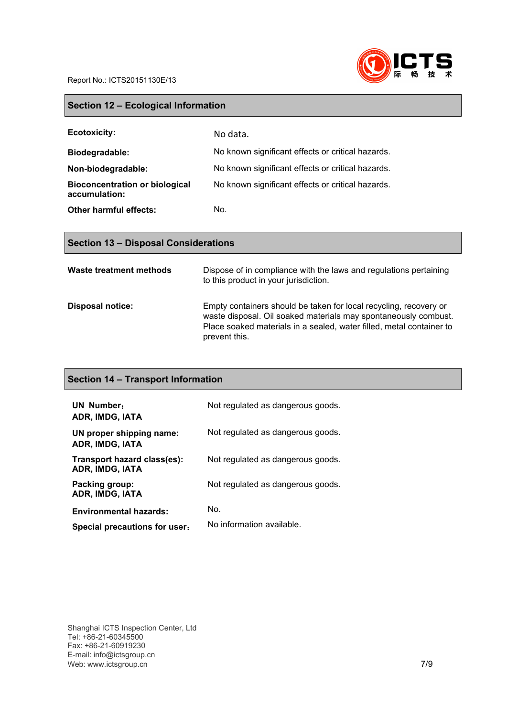

# **Section 12 - Ecological Information**

| <b>Ecotoxicity:</b>                                    | No data.                                          |
|--------------------------------------------------------|---------------------------------------------------|
| Biodegradable:                                         | No known significant effects or critical hazards. |
| Non-biodegradable:                                     | No known significant effects or critical hazards. |
| <b>Bioconcentration or biological</b><br>accumulation: | No known significant effects or critical hazards. |
| <b>Other harmful effects:</b>                          | No.                                               |

# **Section 13 - Disposal Considerations**

| Waste treatment methods | Dispose of in compliance with the laws and regulations pertaining<br>to this product in your jurisdiction.                                                                                                                    |
|-------------------------|-------------------------------------------------------------------------------------------------------------------------------------------------------------------------------------------------------------------------------|
| Disposal notice:        | Empty containers should be taken for local recycling, recovery or<br>waste disposal. Oil soaked materials may spontaneously combust.<br>Place soaked materials in a sealed, water filled, metal container to<br>prevent this. |

# **Section 14 – Transport Information**

| UN Number:<br>ADR, IMDG, IATA                  | Not regulated as dangerous goods. |
|------------------------------------------------|-----------------------------------|
| UN proper shipping name:<br>ADR, IMDG, IATA    | Not regulated as dangerous goods. |
| Transport hazard class(es):<br>ADR, IMDG, IATA | Not regulated as dangerous goods. |
| Packing group:<br>ADR, IMDG, IATA              | Not regulated as dangerous goods. |
| <b>Environmental hazards:</b>                  | No.                               |
| Special precautions for user:                  | No information available.         |

Shanghai ICTS Inspection Center, Ltd Tel: [+86-21-60345500](Tel:021-51078336) Fax: +86-21-60919230 E-mail: info@ictsgroup.cn Web: [www.ictsgroup.cn](http://www.ictsgroup.com) 7/9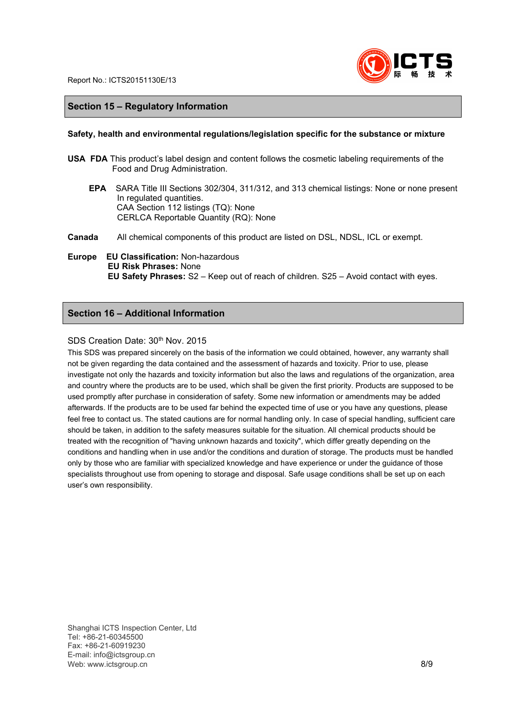

#### **Section 15 – Regulatory Information**

#### **Safety, health and environmental regulations/legislation specific for the substance or mixture**

- **USA FDA** This product's label design and content follows the cosmetic labeling requirements of the Food and Drug Administration.
	- **EPA** SARA Title III Sections 302/304, 311/312, and 313 chemical listings: None or none present In regulated quantities. CAA Section 112 listings (TQ): None CERLCA Reportable Quantity (RQ): None
- **Canada** All chemical components of this product are listed on DSL, NDSL, ICL or exempt.
- **Europe EU Classification:** Non-hazardous **EU Risk Phrases:** None **EU Safety Phrases:** S2 – Keep out of reach of children. S25 – Avoid contact with eyes.

#### **Section 16 – Additional Information**

#### SDS Creation Date: 30<sup>th</sup> Nov. 2015

This SDS was prepared sincerely on the basis of the information we could obtained, however, any warranty shall not be given regarding the data contained and the assessment of hazards and toxicity. Prior to use, please investigate not only the hazards and toxicity information but also the laws and regulations of the organization, area and country where the products are to be used, which shall be given the first priority. Products are supposed to be used promptly after purchase in consideration of safety. Some new information or amendments may be added afterwards. If the products are to be used far behind the expected time of use or you have any questions, please feel free to contact us. The stated cautions are fornormal handling only. In case of special handling, sufficient care should be taken, in addition to the safety measures suitable for the situation. All chemical products should be treated with the recognition of "having unknown hazards and toxicity", which differ greatly depending on the conditions and handling when in use and/or the conditions and duration of storage. The products must be handled only by those who are familiar with specialized knowledge and have experience or under the guidance of those specialists throughout use from opening to storage and disposal. Safe usage conditions shall be set up on each user's own responsibility.

Shanghai ICTS Inspection Center, Ltd Tel: [+86-21-60345500](Tel:021-51078336) Fax: +86-21-60919230 E-mail: info@ictsgroup.cn Web: [www.ictsgroup.cn](http://www.ictsgroup.com) 8/9